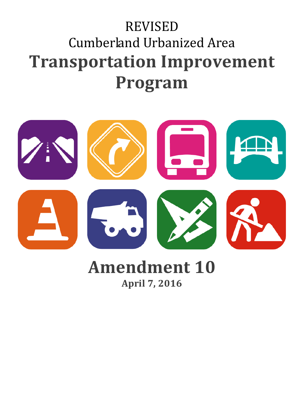# REVISED Cumberland Urbanized Area **Transportation Improvement Program**



## **Amendment 10 April 7, 2016**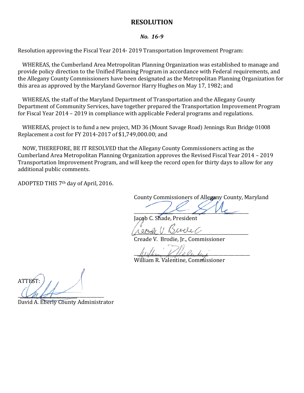#### **RESOLUTION**

#### *No. 16-9*

Resolution approving the Fiscal Year 2014- 2019 Transportation Improvement Program:

WHEREAS, the Cumberland Area Metropolitan Planning Organization was established to manage and provide policy direction to the Unified Planning Program in accordance with Federal requirements, and the Allegany County Commissioners have been designated as the Metropolitan Planning Organization for this area as approved by the Maryland Governor Harry Hughes on May 17, 1982; and

WHEREAS, the staff of the Maryland Department of Transportation and the Allegany County Department of Community Services, have together prepared the Transportation Improvement Program for Fiscal Year 2014 – 2019 in compliance with applicable Federal programs and regulations.

WHEREAS, project is to fund a new project, MD 36 (Mount Savage Road) Jennings Run Bridge 01008 Replacement a cost for FY 2014-2017 of \$1,749,000.00; and

NOW, THEREFORE, BE IT RESOLVED that the Allegany County Commissioners acting as the Cumberland Area Metropolitan Planning Organization approves the Revised Fiscal Year 2014 – 2019 Transportation Improvement Program, and will keep the record open for thirty days to allow for any additional public comments.

ADOPTED THIS 7th day of April, 2016.

County Commissioners of Allegany County, Maryland

 $\overline{\phantom{a}}$ Jacob C. Shade, President

 $100000$  11 KS cockers

Creade V. Brodie, Jr., Commissioner

 $\mu$ uffung K/alexan

William R. Valentine, Commissioner

ATTEST:  $CMAT$ 

David A. Eberly County Administrator